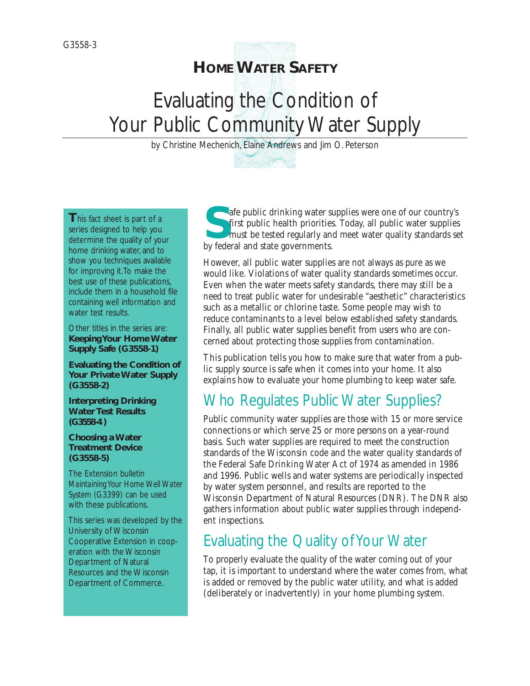# **HOMEWATER SAFETY**

# Evaluating the Condition of Your Public Community Water Supply

by Christine Mechenich, Elaine Andrews and Jim O. Peterson

**T**his fact sheet is part of a series designed to help you determine the quality of your home drinking water, and to show you techniques available for improving it.To make the best use of these publications, include them in a household file containing well information and water test results.

Other titles in the series are: **Keeping Your Home Water Supply Safe (G3558-1)**

**Evaluating the Condition of Your Private Water Supply (G3558-2)**

**Interpreting Drinking Water Test Results (G3558-4 )**

#### **Choosing a Water Treatment Device (G3558-5)**

The Extension bulletin *Maintaining Your Home Well Water System (*G3399) can be used with these publications.

This series was developed by the University of Wisconsin Cooperative Extension in cooperation with the Wisconsin Department of Natural Resources and the Wisconsin Department of Commerce.

**S**afe public drinking water supplies were one of our country's first public health priorities. Today, all public water supplies must be tested regularly and meet water quality standards set by federal and state governments.

However, all public water supplies are not always as pure as we would like. Violations of water quality standards sometimes occur. Even when the water meets safety standards, there may still be a need to treat public water for undesirable "aesthetic" characteristics such as a metallic or chlorine taste. Some people may wish to reduce contaminants to a level below established safety standards. Finally, all public water supplies benefit from users who are concerned about protecting those supplies from contamination.

This publication tells you how to make sure that water from a public supply source is safe when it comes into your home. It also explains how to evaluate your home plumbing to keep water safe.

# Who Regulates Public Water Supplies?

Public community water supplies are those with 15 or more service connections or which serve 25 or more persons on a year-round basis. Such water supplies are required to meet the construction standards of the Wisconsin code and the water quality standards of the Federal Safe Drinking Water Act of 1974 as amended in 1986 and 1996. Public wells and water systems are periodically inspected by water system personnel, and results are reported to the Wisconsin Department of Natural Resources (DNR). The DNR also gathers information about public water supplies through independent inspections.

# Evaluating the Quality of Your Water

To properly evaluate the quality of the water coming out of your tap, it is important to understand where the water comes from, what is added or removed by the public water utility, and what is added (deliberately or inadvertently) in your home plumbing system.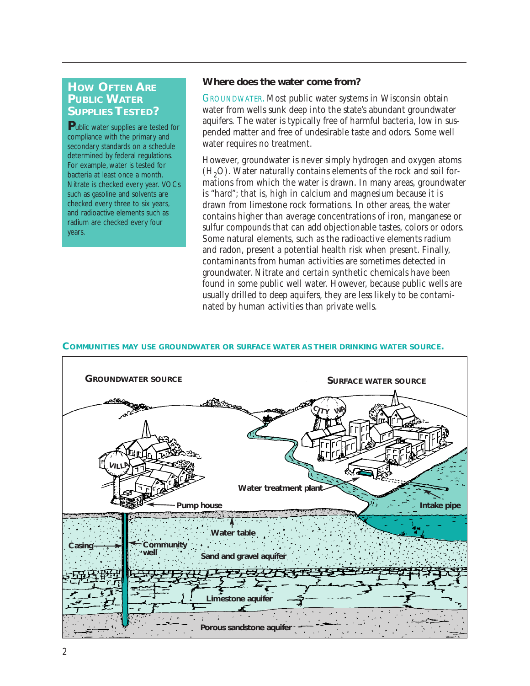# **HOW OFTEN ARE PUBLIC WATER SUPPLIES TESTED?**

**P**ublic water supplies are tested for compliance with the primary and secondary standards on a schedule determined by federal regulations. For example, water is tested for bacteria at least once a month. Nitrate is checked every year. VOCs such as gasoline and solvents are checked every three to six years, and radioactive elements such as radium are checked every four years.

#### **Where does the water come from?**

GROUNDWATER. Most public water systems in Wisconsin obtain water from wells sunk deep into the state's abundant groundwater aquifers. The water is typically free of harmful bacteria, low in suspended matter and free of undesirable taste and odors. Some well water requires no treatment.

However, groundwater is never simply hydrogen and oxygen atoms  $(H<sub>2</sub>O)$ . Water naturally contains elements of the rock and soil formations from which the water is drawn. In many areas, groundwater is "hard"; that is, high in calcium and magnesium because it is drawn from limestone rock formations. In other areas, the water contains higher than average concentrations of iron, manganese or sulfur compounds that can add objectionable tastes, colors or odors. Some natural elements, such as the radioactive elements radium and radon, present a potential health risk when present. Finally, contaminants from human activities are sometimes detected in groundwater. Nitrate and certain synthetic chemicals have been found in some public well water. However, because public wells are usually drilled to deep aquifers, they are less likely to be contaminated by human activities than private wells.

#### **COMMUNITIES MAY USE GROUNDWATER OR SURFACE WATER AS THEIR DRINKING WATER SOURCE.**

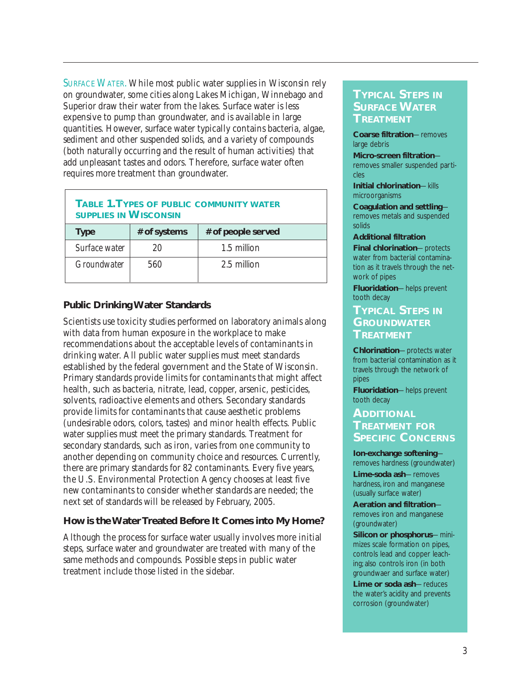SURFACE WATER. While most public water supplies in Wisconsin rely on groundwater, some cities along Lakes Michigan, Winnebago and Superior draw their water from the lakes. Surface water is less expensive to pump than groundwater, and is available in large quantities. However, surface water typically contains bacteria, algae, sediment and other suspended solids, and a variety of compounds (both naturally occurring and the result of human activities) that add unpleasant tastes and odors. Therefore, surface water often requires more treatment than groundwater.

| <b>SUPPLIES IN WISCONSIN</b><br>$\pm$ of systems $\pm$ 6 noonless right<br>$T_{M}$ |  |  |  |  |
|------------------------------------------------------------------------------------|--|--|--|--|
| <b>TABLE 1. TYPES OF PUBLIC COMMUNITY WATER</b>                                    |  |  |  |  |

| <b>Type</b>   | # of systems | # of people served |
|---------------|--------------|--------------------|
| Surface water |              | 1.5 million        |
| Groundwater   | 560          | 2.5 million        |

### **Public Drinking Water Standards**

Scientists use toxicity studies performed on laboratory animals along with data from human exposure in the workplace to make recommendations about the acceptable levels of contaminants in drinking water. All public water supplies must meet standards established by the federal government and the State of Wisconsin. Primary standards provide limits for contaminants that might affect health, such as bacteria, nitrate, lead, copper, arsenic, pesticides, solvents, radioactive elements and others. Secondary standards provide limits for contaminants that cause aesthetic problems (undesirable odors, colors, tastes) and minor health effects. Public water supplies must meet the primary standards. Treatment for secondary standards, such as iron, varies from one community to another depending on community choice and resources. Currently, there are primary standards for 82 contaminants. Every five years, the U.S. Environmental Protection Agency chooses at least five new contaminants to consider whether standards are needed; the next set of standards will be released by February, 2005.

### **How is the Water Treated Before It Comes into My Home?**

Although the process for surface water usually involves more initial steps, surface water and groundwater are treated with many of the same methods and compounds. Possible steps in public water treatment include those listed in the sidebar.

### **TYPICAL STEPS IN SURFACE WATER TREATMENT**

**Coarse filtration**—removes large debris

**Micro-screen filtration** removes smaller suspended particles

**Initial chlorination**—kills microorganisms

**Coagulation and settling** removes metals and suspended solids

#### **Additional filtration**

**Final chlorination**—protects water from bacterial contamination as it travels through the network of pipes

**Fluoridation**—helps prevent tooth decay

## **TYPICAL STEPS IN GROUNDWATER TREATMENT**

**Chlorination**—protects water from bacterial contamination as it travels through the network of pipes

**Fluoridation**—helps prevent tooth decay

# **ADDITIONAL TREATMENT FOR SPECIFIC CONCERNS**

**Ion-exchange softening** removes hardness (groundwater) **Lime-soda ash**—removes hardness, iron and manganese (usually surface water)

**Aeration and filtration** removes iron and manganese (groundwater)

**Silicon or phosphorus**—minimizes scale formation on pipes, controls lead and copper leaching; also controls iron (in both groundwaer and surface water)

**Lime or soda ash**—reduces the water's acidity and prevents corrosion (groundwater)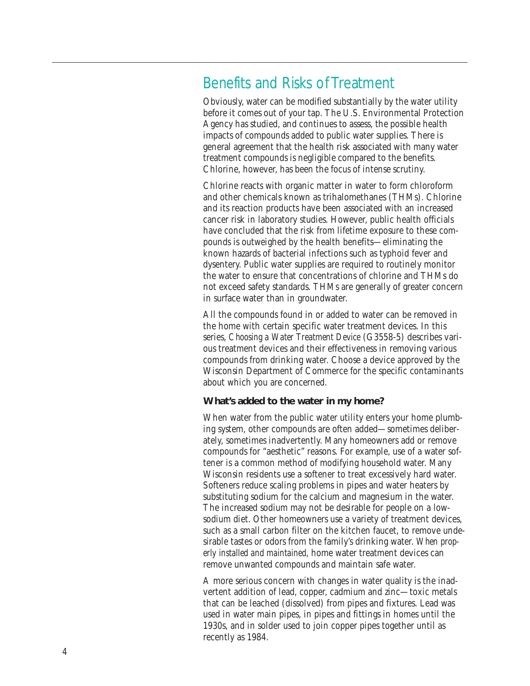# Benefits and Risks of Treatment

Obviously, water can be modified substantially by the water utility before it comes out of your tap. The U.S. Environmental Protection Agency has studied, and continues to assess, the possible health impacts of compounds added to public water supplies. There is general agreement that the health risk associated with many water treatment compounds is negligible compared to the benefits. Chlorine, however, has been the focus of intense scrutiny.

Chlorine reacts with organic matter in water to form chloroform and other chemicals known as trihalomethanes (THMs). Chlorine and its reaction products have been associated with an increased cancer risk in laboratory studies. However, public health officials have concluded that the risk from lifetime exposure to these compounds is outweighed by the health benefits—eliminating the known hazards of bacterial infections such as typhoid fever and dysentery. Public water supplies are required to routinely monitor the water to ensure that concentrations of chlorine and THMs do not exceed safety standards. THMs are generally of greater concern in surface water than in groundwater.

All the compounds found in or added to water can be removed in the home with certain specific water treatment devices. In this series, *Choosing a Water Treatment Device* (G3558-5) describes various treatment devices and their effectiveness in removing various compounds from drinking water. Choose a device approved by the Wisconsin Department of Commerce for the specific contaminants about which you are concerned.

#### **What's added to the water in my home?**

When water from the public water utility enters your home plumbing system, other compounds are often added—sometimes deliberately, sometimes inadvertently. Many homeowners add or remove compounds for "aesthetic" reasons. For example, use of a water softener is a common method of modifying household water. Many Wisconsin residents use a softener to treat excessively hard water. Softeners reduce scaling problems in pipes and water heaters by substituting sodium for the calcium and magnesium in the water. The increased sodium may not be desirable for people on a lowsodium diet. Other homeowners use a variety of treatment devices, such as a small carbon filter on the kitchen faucet, to remove undesirable tastes or odors from the family's drinking water. *When properly installed and maintained*, home water treatment devices can remove unwanted compounds and maintain safe water.

A more serious concern with changes in water quality is the inadvertent addition of lead, copper, cadmium and zinc—toxic metals that can be leached (dissolved) from pipes and fixtures. Lead was used in water main pipes, in pipes and fittings in homes until the 1930s, and in solder used to join copper pipes together until as recently as 1984.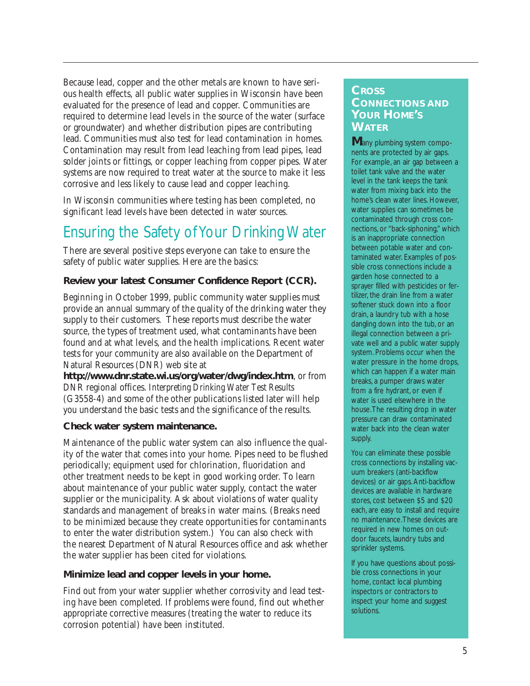Because lead, copper and the other metals are known to have serious health effects, all public water supplies in Wisconsin have been evaluated for the presence of lead and copper. Communities are required to determine lead levels in the source of the water (surface or groundwater) and whether distribution pipes are contributing lead. Communities must also test for lead contamination in homes. Contamination may result from lead leaching from lead pipes, lead solder joints or fittings, or copper leaching from copper pipes. Water systems are now required to treat water at the source to make it less corrosive and less likely to cause lead and copper leaching.

In Wisconsin communities where testing has been completed, no significant lead levels have been detected in *water sources*.

# Ensuring the Safety of Your Drinking Water

There are several positive steps everyone can take to ensure the safety of public water supplies. Here are the basics:

### **Review your latest Consumer Confidence Report (CCR).**

Beginning in October 1999, public community water supplies must provide an annual summary of the quality of the drinking water they supply to their customers. These reports must describe the water source, the types of treatment used, what contaminants have been found and at what levels, and the health implications. Recent water tests for your community are also available on the Department of Natural Resources (DNR) web site at

**http://www.dnr.state.wi.us/org/water/dwg/index.htm**, or from DNR regional offices. *Interpreting Drinking Water Test Results* (G3558-4) and some of the other publications listed later will help you understand the basic tests and the significance of the results.

### **Check water system maintenance.**

Maintenance of the public water system can also influence the quality of the water that comes into your home. Pipes need to be flushed periodically; equipment used for chlorination, fluoridation and other treatment needs to be kept in good working order. To learn about maintenance of your public water supply, contact the water supplier or the municipality. Ask about violations of water quality standards and management of breaks in water mains. (Breaks need to be minimized because they create opportunities for contaminants to enter the water distribution system.) You can also check with the nearest Department of Natural Resources office and ask whether the water supplier has been cited for violations.

### **Minimize lead and copper levels in your home.**

Find out from your water supplier whether corrosivity and lead testing have been completed. If problems were found, find out whether appropriate corrective measures (treating the water to reduce its corrosion potential) have been instituted.

# **CROSS CONNECTIONS AND YOUR HOME'S WATER**

**M**any plumbing system components are protected by air gaps. For example, an air gap between a toilet tank valve and the water level in the tank keeps the tank water from mixing back into the home's clean water lines. However, water supplies can sometimes be contaminated through cross connections, or "back-siphoning," which is an inappropriate connection between potable water and contaminated water. Examples of possible cross connections include a garden hose connected to a sprayer filled with pesticides or fertilizer, the drain line from a water softener stuck down into a floor drain, a laundry tub with a hose dangling down into the tub, or an illegal connection between a private well and a public water supply system. Problems occur when the water pressure in the home drops, which can happen if a water main breaks, a pumper draws water from a fire hydrant, or even if water is used elsewhere in the house.The resulting drop in water pressure can draw contaminated water back into the clean water supply.

You can eliminate these possible cross connections by installing vacuum breakers (anti-backflow devices) or air gaps. Anti-backflow devices are available in hardware stores, cost between \$5 and \$20 each, are easy to install and require no maintenance.These devices are required in new homes on outdoor faucets, laundry tubs and sprinkler systems.

If you have questions about possible cross connections in your home, contact local plumbing inspectors or contractors to inspect your home and suggest solutions.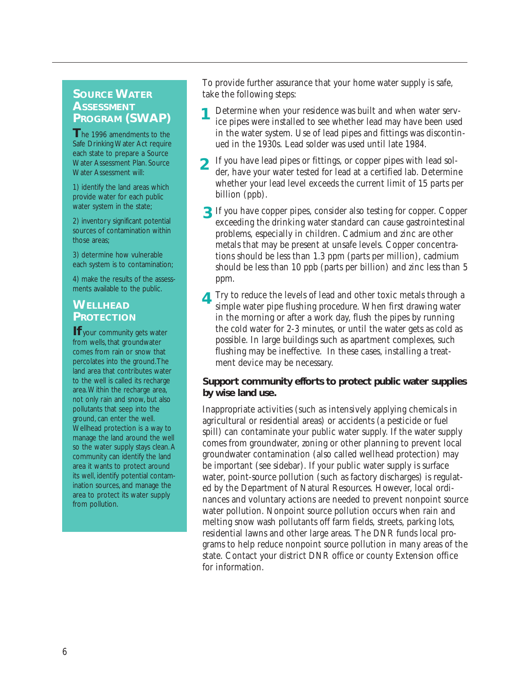### **SOURCE WATER ASSESSMENT PROGRAM (SWAP)**

The 1996 amendments to the Safe Drinking Water Act require each state to prepare a Source Water Assessment Plan. Source Water Assessment will:

1) identify the land areas which provide water for each public water system in the state;

2) inventory significant potential sources of contamination within those areas;

3) determine how vulnerable each system is to contamination;

4) make the results of the assessments available to the public.

# **WELLHEAD PROTECTION**

**If** your community gets water from wells, that groundwater comes from rain or snow that percolates into the ground.The land area that contributes water to the well is called its recharge area.Within the recharge area, not only rain and snow, but also pollutants that seep into the ground, can enter the well. Wellhead protection is a way to manage the land around the well so the water supply stays clean. A community can identify the land area it wants to protect around its well, identify potential contamination sources, and manage the area to protect its water supply from pollution.

To provide further assurance that your home water supply is safe, take the following steps:

- Determine when your residence was built and when water service pipes were installed to see whether lead may have been used in the water system. Use of lead pipes and fittings was discontinued in the 1930s. Lead solder was used until late 1984. **1**
- If you have lead pipes or fittings, or copper pipes with lead solder, have your water tested for lead at a certified lab. Determine whether your lead level exceeds the current limit of 15 parts per billion (ppb). **2**
- If you have copper pipes, consider also testing for copper. Copper **3** exceeding the drinking water standard can cause gastrointestinal problems, especially in children. Cadmium and zinc are other metals that may be present at unsafe levels. Copper concentrations should be less than 1.3 ppm (parts per million), cadmium should be less than 10 ppb (parts per billion) and zinc less than 5 ppm.
- Try to reduce the levels of lead and other toxic metals through a simple water pipe flushing procedure. When first drawing water in the morning or after a work day, flush the pipes by running the cold water for 2-3 minutes, or until the water gets as cold as possible. In large buildings such as apartment complexes, such flushing may be ineffective. In these cases, installing a treatment device may be necessary. **4**

#### **Support community efforts to protect public water supplies by wise land use.**

Inappropriate activities (such as intensively applying chemicals in agricultural or residential areas) or accidents (a pesticide or fuel spill) can contaminate your public water supply. If the water supply comes from groundwater, zoning or other planning to prevent local groundwater contamination (also called wellhead protection) may be important (see sidebar). If your public water supply is surface water, point-source pollution (such as factory discharges) is regulated by the Department of Natural Resources. However, local ordinances and voluntary actions are needed to prevent nonpoint source water pollution. Nonpoint source pollution occurs when rain and melting snow wash pollutants off farm fields, streets, parking lots, residential lawns and other large areas. The DNR funds local programs to help reduce nonpoint source pollution in many areas of the state. Contact your district DNR office or county Extension office for information.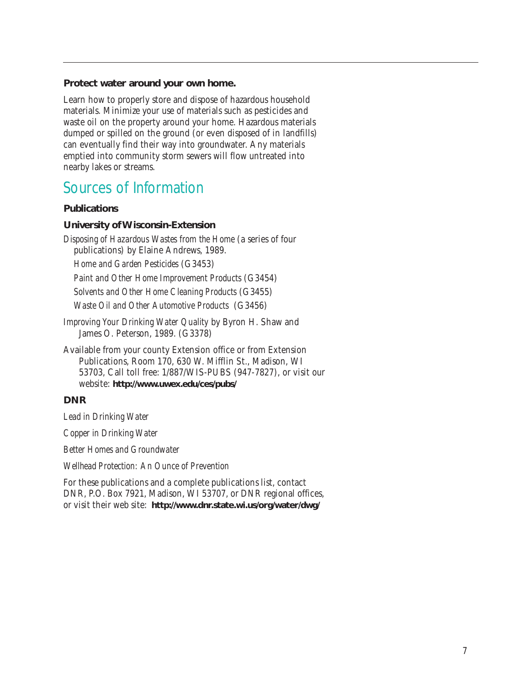#### **Protect water around your own home.**

Learn how to properly store and dispose of hazardous household materials. Minimize your use of materials such as pesticides and waste oil on the property around your home. Hazardous materials dumped or spilled on the ground (or even disposed of in landfills) can eventually find their way into groundwater. Any materials emptied into community storm sewers will flow untreated into nearby lakes or streams.

# Sources of Information

#### **Publications**

#### **University of Wisconsin-Extension**

*Disposing of Hazardous Wastes from the Home* (a series of four publications) by Elaine Andrews, 1989.

*Home and Garden Pesticides* (G3453)

*Paint and Other Home Improvement Products* (G3454)

*Solvents and Other Home Cleaning Products* (G3455)

*Waste Oil and Other Automotive Products* (G3456)

- *Improving Your Drinking Water Quality* by Byron H. Shaw and James O. Peterson, 1989. (G3378)
- Available from your county Extension office or from Extension Publications, Room 170, 630 W. Mifflin St., Madison, WI 53703, Call toll free: 1/887/WIS-PUBS (947-7827), or visit our website: **http://www.uwex.edu/ces/pubs/**

#### **DNR**

*Lead in Drinking Water*

*Copper in Drinking Water*

*Better Homes and Groundwater*

*Wellhead Protection: An Ounce of Prevention*

For these publications and a complete publications list, contact DNR, P.O. Box 7921, Madison, WI 53707, or DNR regional offices, or visit their web site: **http://www.dnr.state.wi.us/org/water/dwg/**